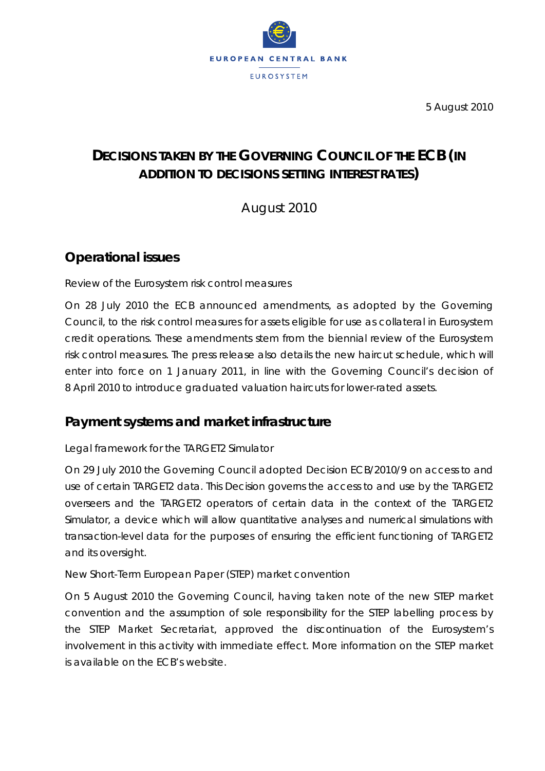

5 August 2010

# **DECISIONS TAKEN BY THE GOVERNING COUNCIL OF THE ECB** *(IN ADDITION TO DECISIONS SETTING INTEREST RATES)*

August 2010

## **Operational issues**

#### *Review of the Eurosystem risk control measures*

On 28 July 2010 the ECB announced amendments, as adopted by the Governing Council, to the risk control measures for assets eligible for use as collateral in Eurosystem credit operations. These amendments stem from the biennial review of the Eurosystem risk control measures. The press release also details the new haircut schedule, which will enter into force on 1 January 2011, in line with the Governing Council's decision of 8 April 2010 to introduce graduated valuation haircuts for lower-rated assets.

### **Payment systems and market infrastructure**

#### *Legal framework for the TARGET2 Simulator*

On 29 July 2010 the Governing Council adopted Decision ECB/2010/9 on access to and use of certain TARGET2 data. This Decision governs the access to and use by the TARGET2 overseers and the TARGET2 operators of certain data in the context of the TARGET2 Simulator, a device which will allow quantitative analyses and numerical simulations with transaction-level data for the purposes of ensuring the efficient functioning of TARGET2 and its oversight.

#### *New Short-Term European Paper (STEP) market convention*

On 5 August 2010 the Governing Council, having taken note of the new STEP market convention and the assumption of sole responsibility for the STEP labelling process by the STEP Market Secretariat, approved the discontinuation of the Eurosystem's involvement in this activity with immediate effect. More information on the STEP market is available on the ECB's website.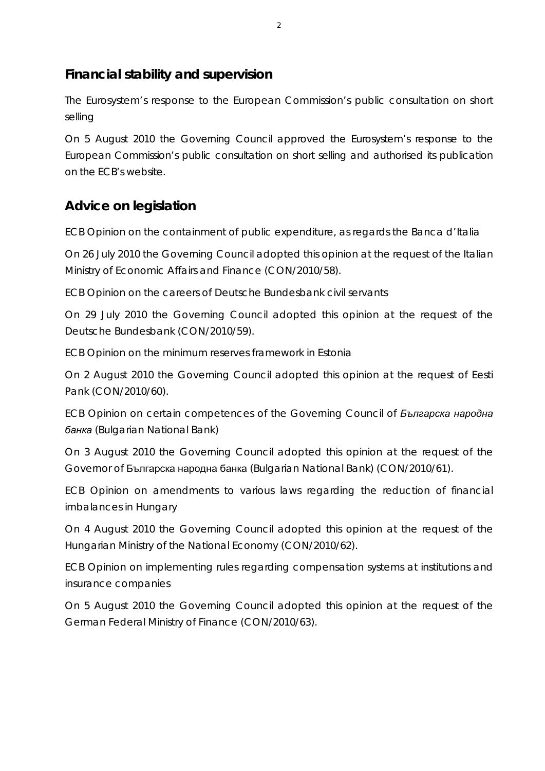### **Financial stability and supervision**

*The Eurosystem's response to the European Commission's public consultation on short selling*

On 5 August 2010 the Governing Council approved the Eurosystem's response to the European Commission's public consultation on short selling and authorised its publication on the ECB's website.

## **Advice on legislation**

*ECB Opinion on the containment of public expenditure, as regards the Banca d'Italia*

On 26 July 2010 the Governing Council adopted this opinion at the request of the Italian Ministry of Economic Affairs and Finance (CON/2010/58).

*ECB Opinion on the careers of Deutsche Bundesbank civil servants*

On 29 July 2010 the Governing Council adopted this opinion at the request of the Deutsche Bundesbank (CON/2010/59).

*ECB Opinion on the minimum reserves framework in Estonia*

On 2 August 2010 the Governing Council adopted this opinion at the request of Eesti Pank (CON/2010/60).

*ECB Opinion on certain competences of the Governing Council of Българска народна банка (Bulgarian National Bank)*

On 3 August 2010 the Governing Council adopted this opinion at the request of the Governor of Българска народна банка (Bulgarian National Bank) (CON/2010/61).

*ECB Opinion on amendments to various laws regarding the reduction of financial imbalances in Hungary*

On 4 August 2010 the Governing Council adopted this opinion at the request of the Hungarian Ministry of the National Economy (CON/2010/62).

*ECB Opinion on implementing rules regarding compensation systems at institutions and insurance companies*

On 5 August 2010 the Governing Council adopted this opinion at the request of the German Federal Ministry of Finance (CON/2010/63).